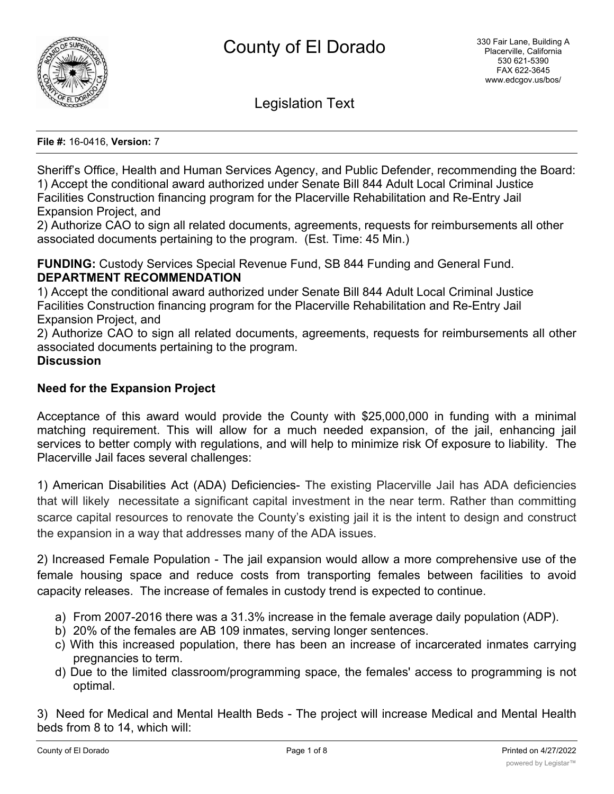

Legislation Text

#### **File #:** 16-0416, **Version:** 7

Sheriff's Office, Health and Human Services Agency, and Public Defender, recommending the Board: 1) Accept the conditional award authorized under Senate Bill 844 Adult Local Criminal Justice Facilities Construction financing program for the Placerville Rehabilitation and Re-Entry Jail Expansion Project, and

2) Authorize CAO to sign all related documents, agreements, requests for reimbursements all other associated documents pertaining to the program. (Est. Time: 45 Min.)

**FUNDING:** Custody Services Special Revenue Fund, SB 844 Funding and General Fund. **DEPARTMENT RECOMMENDATION**

1) Accept the conditional award authorized under Senate Bill 844 Adult Local Criminal Justice Facilities Construction financing program for the Placerville Rehabilitation and Re-Entry Jail Expansion Project, and

2) Authorize CAO to sign all related documents, agreements, requests for reimbursements all other associated documents pertaining to the program.

## **Discussion**

# **Need for the Expansion Project**

Acceptance of this award would provide the County with \$25,000,000 in funding with a minimal matching requirement. This will allow for a much needed expansion, of the jail, enhancing jail services to better comply with regulations, and will help to minimize risk Of exposure to liability. The Placerville Jail faces several challenges:

1) American Disabilities Act (ADA) Deficiencies- The existing Placerville Jail has ADA deficiencies that will likely necessitate a significant capital investment in the near term. Rather than committing scarce capital resources to renovate the County's existing jail it is the intent to design and construct the expansion in a way that addresses many of the ADA issues.

2) Increased Female Population - The jail expansion would allow a more comprehensive use of the female housing space and reduce costs from transporting females between facilities to avoid capacity releases. The increase of females in custody trend is expected to continue.

- a) From 2007-2016 there was a 31.3% increase in the female average daily population (ADP).
- b) 20% of the females are AB 109 inmates, serving longer sentences.
- c) With this increased population, there has been an increase of incarcerated inmates carrying pregnancies to term.
- d) Due to the limited classroom/programming space, the females' access to programming is not optimal.

3) Need for Medical and Mental Health Beds - The project will increase Medical and Mental Health beds from 8 to 14, which will: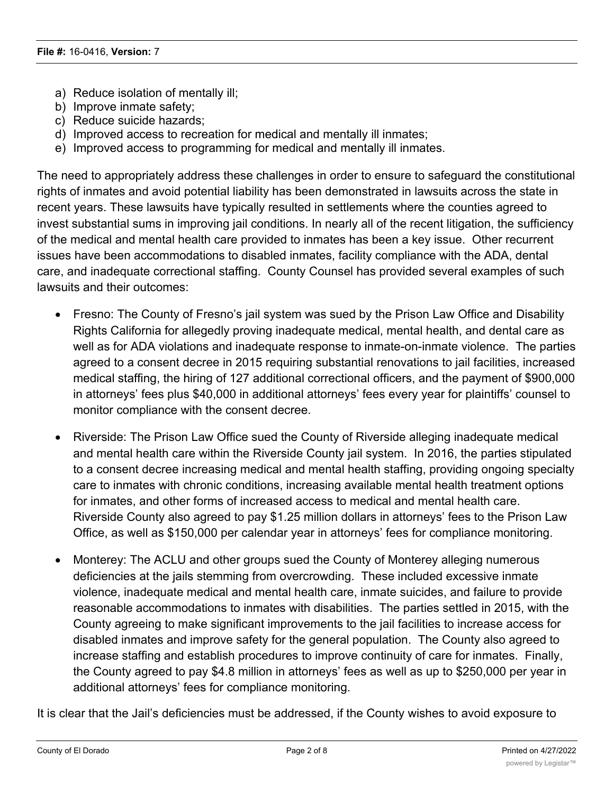- a) Reduce isolation of mentally ill;
- b) Improve inmate safety;
- c) Reduce suicide hazards;
- d) Improved access to recreation for medical and mentally ill inmates;
- e) Improved access to programming for medical and mentally ill inmates.

The need to appropriately address these challenges in order to ensure to safeguard the constitutional rights of inmates and avoid potential liability has been demonstrated in lawsuits across the state in recent years. These lawsuits have typically resulted in settlements where the counties agreed to invest substantial sums in improving jail conditions. In nearly all of the recent litigation, the sufficiency of the medical and mental health care provided to inmates has been a key issue. Other recurrent issues have been accommodations to disabled inmates, facility compliance with the ADA, dental care, and inadequate correctional staffing. County Counsel has provided several examples of such lawsuits and their outcomes:

- · Fresno: The County of Fresno's jail system was sued by the Prison Law Office and Disability Rights California for allegedly proving inadequate medical, mental health, and dental care as well as for ADA violations and inadequate response to inmate-on-inmate violence. The parties agreed to a consent decree in 2015 requiring substantial renovations to jail facilities, increased medical staffing, the hiring of 127 additional correctional officers, and the payment of \$900,000 in attorneys' fees plus \$40,000 in additional attorneys' fees every year for plaintiffs' counsel to monitor compliance with the consent decree.
- · Riverside: The Prison Law Office sued the County of Riverside alleging inadequate medical and mental health care within the Riverside County jail system. In 2016, the parties stipulated to a consent decree increasing medical and mental health staffing, providing ongoing specialty care to inmates with chronic conditions, increasing available mental health treatment options for inmates, and other forms of increased access to medical and mental health care. Riverside County also agreed to pay \$1.25 million dollars in attorneys' fees to the Prison Law Office, as well as \$150,000 per calendar year in attorneys' fees for compliance monitoring.
- · Monterey: The ACLU and other groups sued the County of Monterey alleging numerous deficiencies at the jails stemming from overcrowding. These included excessive inmate violence, inadequate medical and mental health care, inmate suicides, and failure to provide reasonable accommodations to inmates with disabilities. The parties settled in 2015, with the County agreeing to make significant improvements to the jail facilities to increase access for disabled inmates and improve safety for the general population. The County also agreed to increase staffing and establish procedures to improve continuity of care for inmates. Finally, the County agreed to pay \$4.8 million in attorneys' fees as well as up to \$250,000 per year in additional attorneys' fees for compliance monitoring.

It is clear that the Jail's deficiencies must be addressed, if the County wishes to avoid exposure to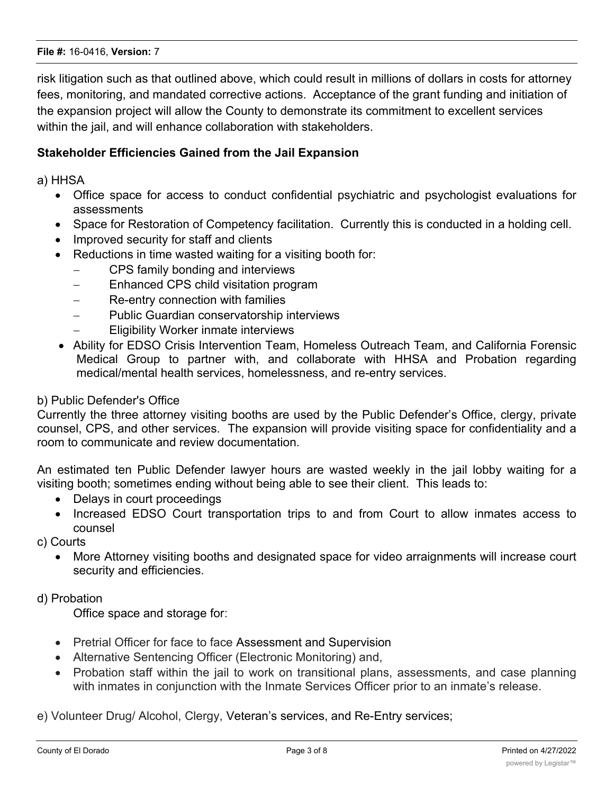#### **File #:** 16-0416, **Version:** 7

risk litigation such as that outlined above, which could result in millions of dollars in costs for attorney fees, monitoring, and mandated corrective actions. Acceptance of the grant funding and initiation of the expansion project will allow the County to demonstrate its commitment to excellent services within the jail, and will enhance collaboration with stakeholders.

## **Stakeholder Efficiencies Gained from the Jail Expansion**

a) HHSA

- · Office space for access to conduct confidential psychiatric and psychologist evaluations for assessments
- · Space for Restoration of Competency facilitation. Currently this is conducted in a holding cell.
- · Improved security for staff and clients
- Reductions in time wasted waiting for a visiting booth for:
	- CPS family bonding and interviews
	- Enhanced CPS child visitation program
	- Re-entry connection with families
	- Public Guardian conservatorship interviews
	- **Eligibility Worker inmate interviews**
- · Ability for EDSO Crisis Intervention Team, Homeless Outreach Team, and California Forensic Medical Group to partner with, and collaborate with HHSA and Probation regarding medical/mental health services, homelessness, and re-entry services.

#### b) Public Defender's Office

Currently the three attorney visiting booths are used by the Public Defender's Office, clergy, private counsel, CPS, and other services. The expansion will provide visiting space for confidentiality and a room to communicate and review documentation.

An estimated ten Public Defender lawyer hours are wasted weekly in the jail lobby waiting for a visiting booth; sometimes ending without being able to see their client. This leads to:

- · Delays in court proceedings
- · Increased EDSO Court transportation trips to and from Court to allow inmates access to counsel

c) Courts

· More Attorney visiting booths and designated space for video arraignments will increase court security and efficiencies.

#### d) Probation

Office space and storage for:

- · Pretrial Officer for face to face Assessment and Supervision
- Alternative Sentencing Officer (Electronic Monitoring) and,
- · Probation staff within the jail to work on transitional plans, assessments, and case planning with inmates in conjunction with the Inmate Services Officer prior to an inmate's release.

#### e) Volunteer Drug/ Alcohol, Clergy, Veteran's services, and Re-Entry services;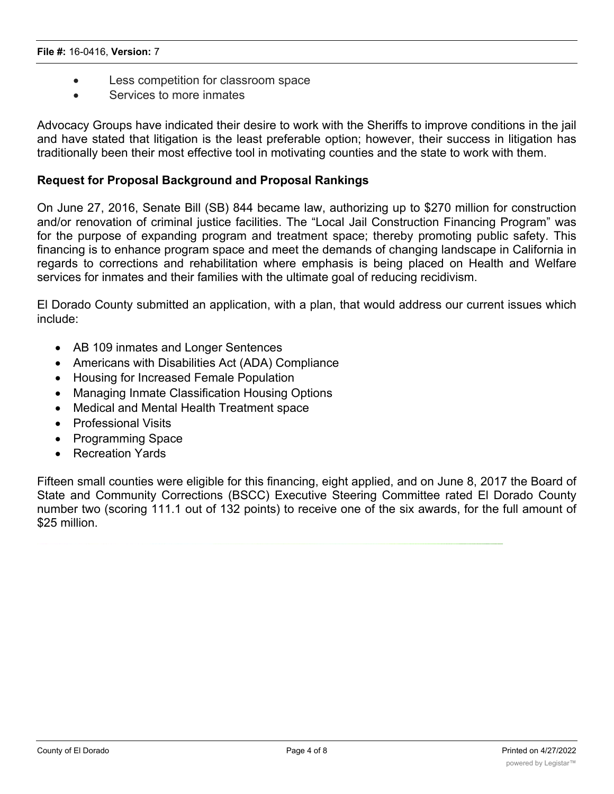- · Less competition for classroom space
- · Services to more inmates

Advocacy Groups have indicated their desire to work with the Sheriffs to improve conditions in the jail and have stated that litigation is the least preferable option; however, their success in litigation has traditionally been their most effective tool in motivating counties and the state to work with them.

#### **Request for Proposal Background and Proposal Rankings**

On June 27, 2016, Senate Bill (SB) 844 became law, authorizing up to \$270 million for construction and/or renovation of criminal justice facilities. The "Local Jail Construction Financing Program" was for the purpose of expanding program and treatment space; thereby promoting public safety. This financing is to enhance program space and meet the demands of changing landscape in California in regards to corrections and rehabilitation where emphasis is being placed on Health and Welfare services for inmates and their families with the ultimate goal of reducing recidivism.

El Dorado County submitted an application, with a plan, that would address our current issues which include:

- AB 109 inmates and Longer Sentences
- Americans with Disabilities Act (ADA) Compliance
- · Housing for Increased Female Population
- · Managing Inmate Classification Housing Options
- Medical and Mental Health Treatment space
- · Professional Visits
- · Programming Space
- · Recreation Yards

Fifteen small counties were eligible for this financing, eight applied, and on June 8, 2017 the Board of State and Community Corrections (BSCC) Executive Steering Committee rated El Dorado County number two (scoring 111.1 out of 132 points) to receive one of the six awards, for the full amount of \$25 million.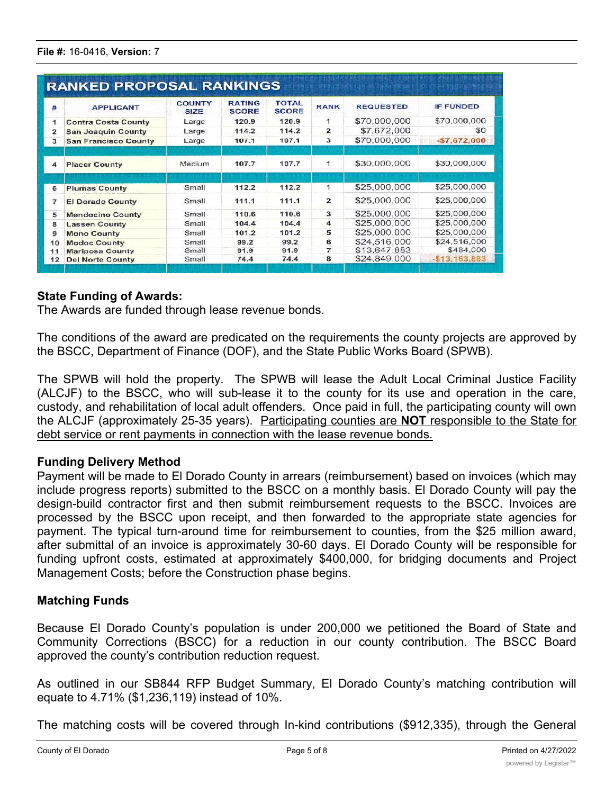| 莽            | <b>APPLICANT</b>            | <b>COUNTY</b><br><b>SIZE</b> | <b>RATING</b><br><b>SCORE</b> | <b>TOTAL</b><br><b>SCORE</b> | <b>RANK</b>    | <b>REQUESTED</b> | <b>IF FUNDED</b> |
|--------------|-----------------------------|------------------------------|-------------------------------|------------------------------|----------------|------------------|------------------|
| 1            | <b>Contra Costa County</b>  | Large                        | 120.9                         | 120.9                        | 1              | \$70,000,000     | \$70,000,000     |
| $\mathbf{z}$ | <b>San Joaquin County</b>   | Large                        | 114.2                         | 114.2                        | $\overline{2}$ | \$7,672,000      | SO.              |
| 3            | <b>San Francisco County</b> | Large                        | 107.1                         | 107.1                        | 3              | \$70,000,000     | $-57,672,000$    |
| 4            | <b>Placer County</b>        | Medium                       | 107.7                         | 107.7                        | 1              | \$30,000,000     | \$30,000,000     |
| 6            | <b>Plumas County</b>        | Small                        | 112.2                         | 112.2                        | 1              | \$25,000,000     | \$25,000,000     |
| 7            | <b>El Dorado County</b>     | Small                        | 111.1                         | 111.1                        | $\overline{2}$ | \$25,000,000     | \$25,000,000     |
| 5            | <b>Mendocino County</b>     | Small                        | 110.6                         | 110.6                        | 3              | \$25,000,000     | \$25,000,000     |
| 8            | <b>Lassen County</b>        | Small                        | 104.4                         | 104.4                        | 4              | \$25,000,000     | \$25,000,000     |
| 9            | <b>Mono County</b>          | Small                        | 101.2                         | 101.2                        | 5              | \$25,000,000     | \$25,000,000     |
| 10           | <b>Modoc County</b>         | Small                        | 99.2                          | 99.2                         | 6              | \$24,516,000     | \$24,516,000     |
| 11           | <b>Mariposa County</b>      | Small                        | 91.9                          | 91.9                         | 7              | \$13,647,883     | \$484,000        |
| 12           | <b>Del Norte County</b>     | Small                        | 74.4                          | 74.4                         | 8              | \$24,849,000     | $-$13,163,883$   |

## **State Funding of Awards:**

The Awards are funded through lease revenue bonds.

The conditions of the award are predicated on the requirements the county projects are approved by the BSCC, Department of Finance (DOF), and the State Public Works Board (SPWB).

The SPWB will hold the property. The SPWB will lease the Adult Local Criminal Justice Facility (ALCJF) to the BSCC, who will sub-lease it to the county for its use and operation in the care, custody, and rehabilitation of local adult offenders. Once paid in full, the participating county will own the ALCJF (approximately 25-35 years). Participating counties are **NOT** responsible to the State for debt service or rent payments in connection with the lease revenue bonds.

#### **Funding Delivery Method**

Payment will be made to El Dorado County in arrears (reimbursement) based on invoices (which may include progress reports) submitted to the BSCC on a monthly basis. El Dorado County will pay the design-build contractor first and then submit reimbursement requests to the BSCC. Invoices are processed by the BSCC upon receipt, and then forwarded to the appropriate state agencies for payment. The typical turn-around time for reimbursement to counties, from the \$25 million award, after submittal of an invoice is approximately 30-60 days. El Dorado County will be responsible for funding upfront costs, estimated at approximately \$400,000, for bridging documents and Project Management Costs; before the Construction phase begins.

#### **Matching Funds**

Because El Dorado County's population is under 200,000 we petitioned the Board of State and Community Corrections (BSCC) for a reduction in our county contribution. The BSCC Board approved the county's contribution reduction request.

As outlined in our SB844 RFP Budget Summary, El Dorado County's matching contribution will equate to 4.71% (\$1,236,119) instead of 10%.

The matching costs will be covered through In-kind contributions (\$912,335), through the General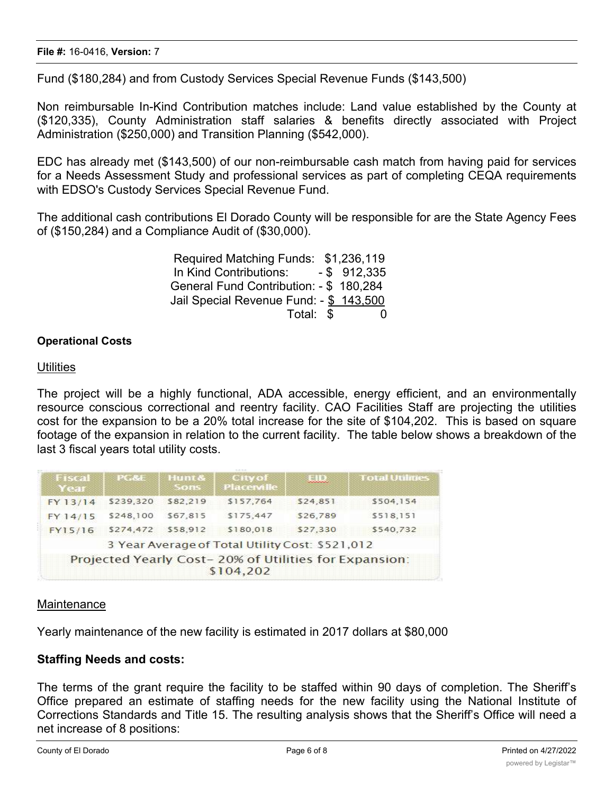Fund (\$180,284) and from Custody Services Special Revenue Funds (\$143,500)

Non reimbursable In-Kind Contribution matches include: Land value established by the County at (\$120,335), County Administration staff salaries & benefits directly associated with Project Administration (\$250,000) and Transition Planning (\$542,000).

EDC has already met (\$143,500) of our non-reimbursable cash match from having paid for services for a Needs Assessment Study and professional services as part of completing CEQA requirements with EDSO's Custody Services Special Revenue Fund.

The additional cash contributions El Dorado County will be responsible for are the State Agency Fees of (\$150,284) and a Compliance Audit of (\$30,000).

> Required Matching Funds: \$1,236,119 In Kind Contributions: - \$ 912,335 General Fund Contribution: - \$ 180,284 Jail Special Revenue Fund: - \$ 143,500 Total: \$ 0

#### **Operational Costs**

#### **Utilities**

The project will be a highly functional, ADA accessible, energy efficient, and an environmentally resource conscious correctional and reentry facility. CAO Facilities Staff are projecting the utilities cost for the expansion to be a 20% total increase for the site of \$104,202. This is based on square footage of the expansion in relation to the current facility. The table below shows a breakdown of the last 3 fiscal years total utility costs.

| <b>BISCAL</b><br><b>ACC 315</b> | 12.44.2.200 | Hunt& City of<br><b>BSOTTENIE</b> | <b>Placemile</b>                                                   | 置信)      | <b>Total Utilities</b> |
|---------------------------------|-------------|-----------------------------------|--------------------------------------------------------------------|----------|------------------------|
| FY 13/14                        | \$239,320   | \$82,219                          | \$157,764                                                          | \$24,851 | \$504,154              |
| FY 14/15                        | \$248,100   | \$67.815                          | \$175,447                                                          | \$26,789 | \$518,151              |
| FY15/16                         | \$274,472   | \$58.912                          | \$180,018                                                          | \$27,330 | \$540,732              |
|                                 |             |                                   | 3 Year Average of Total Utility Cost: \$521,012                    |          |                        |
|                                 |             |                                   | Projected Yearly Cost-20% of Utilities for Expansion:<br>\$104,202 |          |                        |

#### Maintenance

Yearly maintenance of the new facility is estimated in 2017 dollars at \$80,000

#### **Staffing Needs and costs:**

The terms of the grant require the facility to be staffed within 90 days of completion. The Sheriff's Office prepared an estimate of staffing needs for the new facility using the National Institute of Corrections Standards and Title 15. The resulting analysis shows that the Sheriff's Office will need a net increase of 8 positions: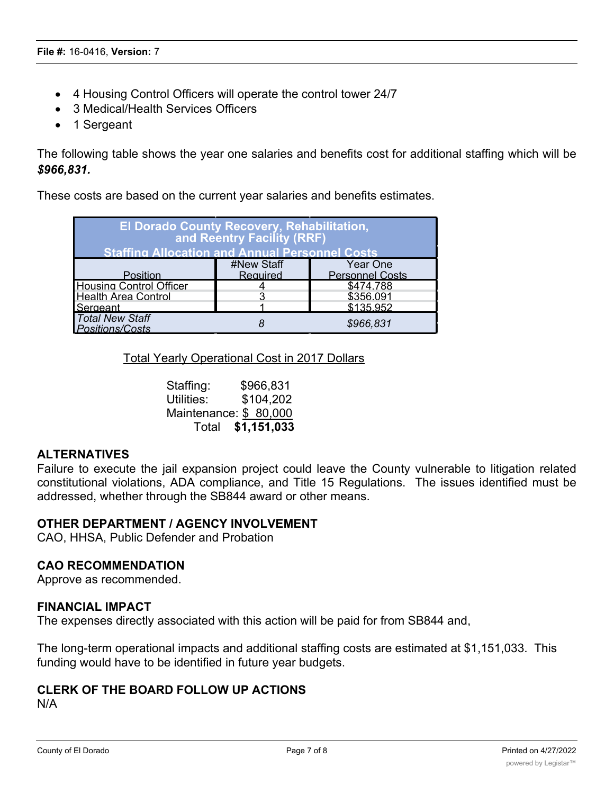- · 4 Housing Control Officers will operate the control tower 24/7
- · 3 Medical/Health Services Officers
- · 1 Sergeant

The following table shows the year one salaries and benefits cost for additional staffing which will be *\$966,831.*

These costs are based on the current year salaries and benefits estimates.

| El Dorado County Recovery, Rehabilitation,<br>and Reentry Facility (RRF)<br><b>Staffing Allocation and Annual Personnel Costs</b> |                        |                                           |  |  |  |  |  |  |
|-----------------------------------------------------------------------------------------------------------------------------------|------------------------|-------------------------------------------|--|--|--|--|--|--|
| Position                                                                                                                          | #New Staff<br>Required | <b>Year One</b><br><b>Personnel Costs</b> |  |  |  |  |  |  |
| <b>Housing Control Officer</b>                                                                                                    |                        | \$474.788                                 |  |  |  |  |  |  |
| <b>Health Area Control</b>                                                                                                        |                        | \$356.091                                 |  |  |  |  |  |  |
| Sergeant                                                                                                                          |                        | \$135.952                                 |  |  |  |  |  |  |
| <b>Total New Staff</b><br>Positions/Costs                                                                                         |                        | \$966,831                                 |  |  |  |  |  |  |

Total Yearly Operational Cost in 2017 Dollars

 Staffing: \$966,831 Utilities: \$104,202 Maintenance: \$ 80,000 Total **\$1,151,033**

## **ALTERNATIVES**

Failure to execute the jail expansion project could leave the County vulnerable to litigation related constitutional violations, ADA compliance, and Title 15 Regulations. The issues identified must be addressed, whether through the SB844 award or other means.

#### **OTHER DEPARTMENT / AGENCY INVOLVEMENT**

CAO, HHSA, Public Defender and Probation

#### **CAO RECOMMENDATION**

Approve as recommended.

#### **FINANCIAL IMPACT**

The expenses directly associated with this action will be paid for from SB844 and,

The long-term operational impacts and additional staffing costs are estimated at \$1,151,033. This funding would have to be identified in future year budgets.

# **CLERK OF THE BOARD FOLLOW UP ACTIONS**

N/A